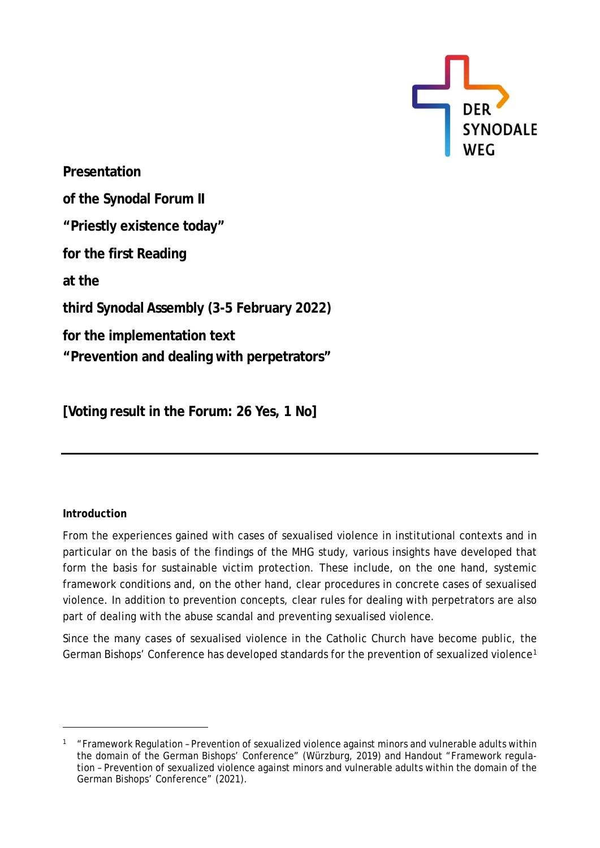

**Presentation of the Synodal Forum II "Priestly existence today" for the first Reading at the third Synodal Assembly (3-5 February 2022) for the implementation text "Prevention and dealing with perpetrators"**

**[Voting result in the Forum: 26 Yes, 1 No]**

## **Introduction**

From the experiences gained with cases of sexualised violence in institutional contexts and in particular on the basis of the findings of the MHG study, various insights have developed that form the basis for sustainable victim protection. These include, on the one hand, systemic framework conditions and, on the other hand, clear procedures in concrete cases of sexualised violence. In addition to prevention concepts, clear rules for dealing with perpetrators are also part of dealing with the abuse scandal and preventing sexualised violence.

Since the many cases of sexualised violence in the Catholic Church have become public, the German Bishops' Conference has developed standards for the prevention of sexualized violence[1](#page-0-0)

<span id="page-0-0"></span> $1$  "Framework Regulation – Prevention of sexualized violence against minors and vulnerable adults within the domain of the German Bishops' Conference" (Würzburg, 2019) and Handout "Framework regulation – Prevention of sexualized violence against minors and vulnerable adults within the domain of the German Bishops' Conference" (2021).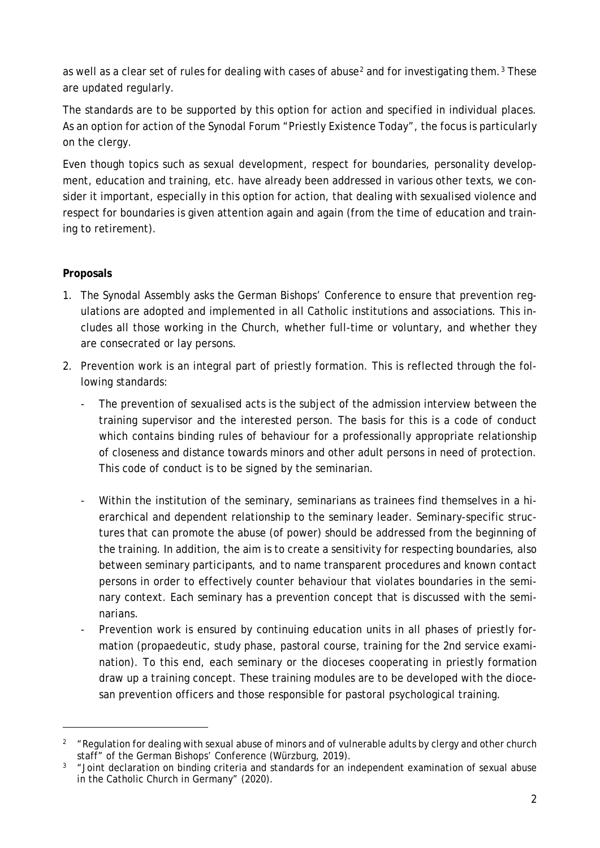as well as a clear set of rules for dealing with cases of abuse<sup>[2](#page-1-0)</sup> and for investigating them.<sup>[3](#page-1-1)</sup> These are updated regularly.

The standards are to be supported by this option for action and specified in individual places. As an option for action of the Synodal Forum "Priestly Existence Today", the focus is particularly on the clergy.

Even though topics such as sexual development, respect for boundaries, personality development, education and training, etc. have already been addressed in various other texts, we consider it important, especially in this option for action, that dealing with sexualised violence and respect for boundaries is given attention again and again (from the time of education and training to retirement).

## **Proposals**

- 1. The Synodal Assembly asks the German Bishops' Conference to ensure that prevention regulations are adopted and implemented in all Catholic institutions and associations. This includes all those working in the Church, whether full-time or voluntary, and whether they are consecrated or lay persons.
- 2. Prevention work is an integral part of priestly formation. This is reflected through the following standards:
	- The prevention of sexualised acts is the subject of the admission interview between the training supervisor and the interested person. The basis for this is a code of conduct which contains binding rules of behaviour for a professionally appropriate relationship of closeness and distance towards minors and other adult persons in need of protection. This code of conduct is to be signed by the seminarian.
	- Within the institution of the seminary, seminarians as trainees find themselves in a hierarchical and dependent relationship to the seminary leader. Seminary-specific structures that can promote the abuse (of power) should be addressed from the beginning of the training. In addition, the aim is to create a sensitivity for respecting boundaries, also between seminary participants, and to name transparent procedures and known contact persons in order to effectively counter behaviour that violates boundaries in the seminary context. Each seminary has a prevention concept that is discussed with the seminarians.
	- Prevention work is ensured by continuing education units in all phases of priestly formation (propaedeutic, study phase, pastoral course, training for the 2nd service examination). To this end, each seminary or the dioceses cooperating in priestly formation draw up a training concept. These training modules are to be developed with the diocesan prevention officers and those responsible for pastoral psychological training.

<span id="page-1-0"></span><sup>&</sup>lt;sup>2</sup> "Regulation for dealing with sexual abuse of minors and of vulnerable adults by clergy and other church staff" of the German Bishops' Conference (Würzburg, 2019).

<span id="page-1-1"></span> $3$  "Joint declaration on binding criteria and standards for an independent examination of sexual abuse in the Catholic Church in Germany" (2020).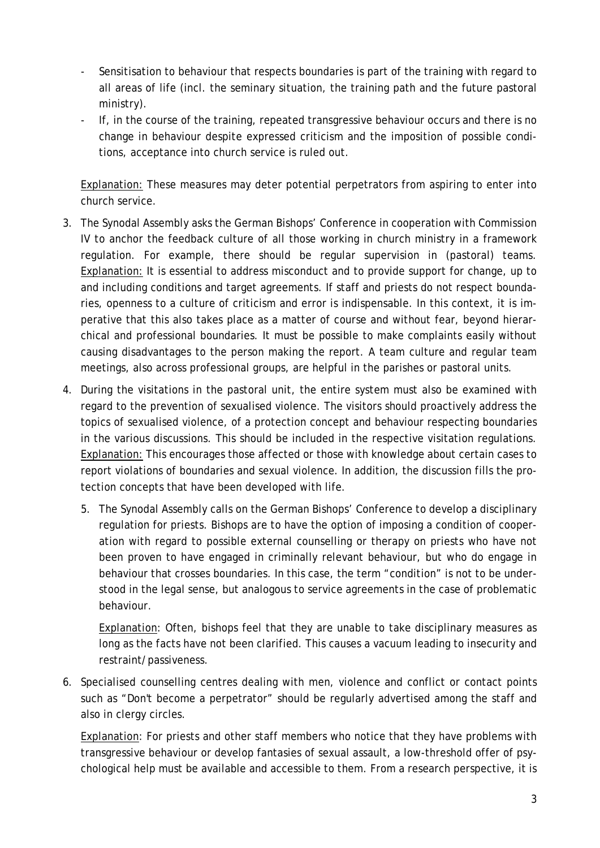- Sensitisation to behaviour that respects boundaries is part of the training with regard to all areas of life (incl. the seminary situation, the training path and the future pastoral ministry).
- If, in the course of the training, repeated transgressive behaviour occurs and there is no change in behaviour despite expressed criticism and the imposition of possible conditions, acceptance into church service is ruled out.

Explanation: These measures may deter potential perpetrators from aspiring to enter into church service.

- 3. The Synodal Assembly asks the German Bishops' Conference in cooperation with Commission IV to anchor the feedback culture of all those working in church ministry in a framework regulation. For example, there should be regular supervision in (pastoral) teams. Explanation: It is essential to address misconduct and to provide support for change, up to and including conditions and target agreements. If staff and priests do not respect boundaries, openness to a culture of criticism and error is indispensable. In this context, it is imperative that this also takes place as a matter of course and without fear, beyond hierarchical and professional boundaries. It must be possible to make complaints easily without causing disadvantages to the person making the report. A team culture and regular team meetings, also across professional groups, are helpful in the parishes or pastoral units.
- 4. During the visitations in the pastoral unit, the entire system must also be examined with regard to the prevention of sexualised violence. The visitors should proactively address the topics of sexualised violence, of a protection concept and behaviour respecting boundaries in the various discussions. This should be included in the respective visitation regulations. Explanation: This encourages those affected or those with knowledge about certain cases to report violations of boundaries and sexual violence. In addition, the discussion fills the protection concepts that have been developed with life.
	- 5. The Synodal Assembly calls on the German Bishops' Conference to develop a disciplinary regulation for priests. Bishops are to have the option of imposing a condition of cooperation with regard to possible external counselling or therapy on priests who have not been proven to have engaged in criminally relevant behaviour, but who do engage in behaviour that crosses boundaries. In this case, the term "condition" is not to be understood in the legal sense, but analogous to service agreements in the case of problematic behaviour.

Explanation: Often, bishops feel that they are unable to take disciplinary measures as long as the facts have not been clarified. This causes a vacuum leading to insecurity and restraint/passiveness.

6. Specialised counselling centres dealing with men, violence and conflict or contact points such as "Don't become a perpetrator" should be regularly advertised among the staff and also in clergy circles.

Explanation: For priests and other staff members who notice that they have problems with transgressive behaviour or develop fantasies of sexual assault, a low-threshold offer of psychological help must be available and accessible to them. From a research perspective, it is